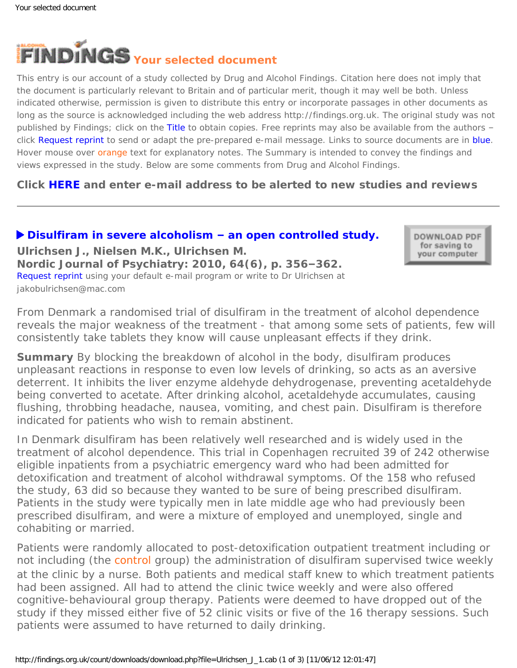<span id="page-0-0"></span>

This entry is our account of a study collected by Drug and Alcohol Findings. Citation here does not imply that the document is particularly relevant to Britain and of particular merit, though it may well be both. Unless indicated otherwise, permission is given to distribute this entry or incorporate passages in other documents as long as the source is acknowledged including the web address http://findings.org.uk. The original study was not published by Findings; click on the Title to obtain copies. Free reprints may also be available from the authors – click Request reprint to send or adapt the pre-prepared e-mail message. Links to source documents are in blue. Hover mouse over orange text for explanatory notes. The Summary is intended to convey the findings and views expressed in the study. Below are some comments from Drug and Alcohol Findings.

**Click [HERE](https://findings.org.uk/index.php#signUp) and enter e-mail address to be alerted to new studies and reviews**

## **[Disulfiram in severe alcoholism](http://dx.doi.org/10.3109/08039481003686180) – an open controlled study.**

DOWNLOAD PDF for saving to your computer

**Ulrichsen J., Nielsen M.K., Ulrichsen M. Nordic Journal of Psychiatry: 2010, 64(6), p. 356–362.** [Request reprint](mailto:jakobulrichsen@mac.com?Subject=Reprint%2520request&body=Dear%20Dr%20Ulrichsen%250A%250AOn%20the%20Drug%20and%20Alcohol%20Findings%20web%20site%20(https://findings.org.uk)%20I%20read%20about%20your%20article:%250AUlrichsen%20J.,%20Nielsen%20M.K.,%20Ulrichsen%20M.%20Disulfiram%20in%20severe%20alcoholism%20%E2%80%93%20an%20open%20controlled%20study.%20Nordic%20Journal%20of%20Psychiatry:%202010,%2064(6),%20p.%20356-362.%250A%250AWould%20it%20be%20possible%20to%20for%20me%20to%20be%20sent%20a%20PDF%20reprint%20or%20the%20manuscript%20by%20replying%20to%20this%20e-mail?%250A) using your default e-mail program or write to Dr Ulrichsen at jakobulrichsen@mac.com

*From Denmark a randomised trial of disulfiram in the treatment of alcohol dependence reveals the major weakness of the treatment - that among some sets of patients, few will consistently take tablets they know will cause unpleasant effects if they drink.*

**Summary** By blocking the breakdown of alcohol in the body, disulfiram produces unpleasant reactions in response to even low levels of drinking, so acts as an aversive deterrent. It inhibits the liver enzyme aldehyde dehydrogenase, preventing acetaldehyde being converted to acetate. After drinking alcohol, acetaldehyde accumulates, causing flushing, throbbing headache, nausea, vomiting, and chest pain. Disulfiram is therefore indicated for patients who wish to remain abstinent.

In Denmark disulfiram has been relatively well researched and is widely used in the treatment of alcohol dependence. This trial in Copenhagen recruited 39 of 242 otherwise eligible inpatients from a psychiatric emergency ward who had been admitted for detoxification and treatment of alcohol withdrawal symptoms. Of the 158 who refused the study, 63 did so because they wanted to be sure of being prescribed disulfiram. Patients in the study were typically men in late middle age who had previously been prescribed disulfiram, and were a mixture of employed and unemployed, single and cohabiting or married.

Patients were randomly allocated to post-detoxification outpatient treatment including or not including (the [control](#page-0-0) group) the administration of disulfiram supervised twice weekly at the clinic by a nurse. Both patients and medical staff knew to which treatment patients had been assigned. All had to attend the clinic twice weekly and were also offered cognitive-behavioural group therapy. Patients were deemed to have dropped out of the study if they missed either five of 52 clinic visits or five of the 16 therapy sessions. Such patients were assumed to have returned to daily drinking.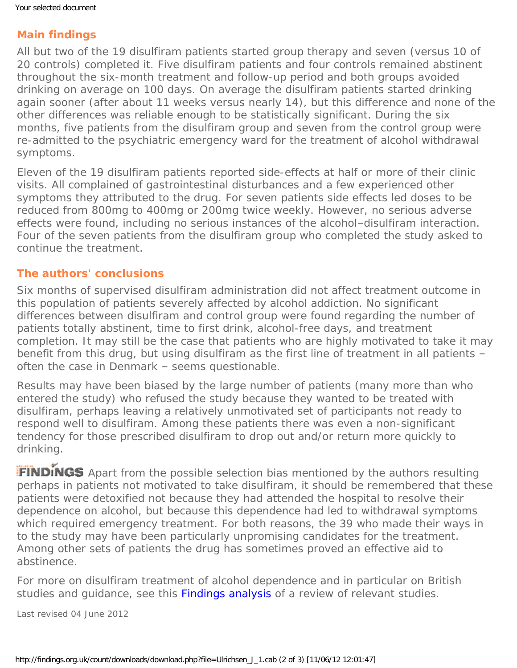## **Main findings**

All but two of the 19 disulfiram patients started group therapy and seven (versus 10 of 20 controls) completed it. Five disulfiram patients and four controls remained abstinent throughout the six-month treatment and follow-up period and both groups avoided drinking on average on 100 days. On average the disulfiram patients started drinking again sooner (after about 11 weeks versus nearly 14), but this difference and none of the other differences was reliable enough to be statistically significant. During the six months, five patients from the disulfiram group and seven from the control group were re-admitted to the psychiatric emergency ward for the treatment of alcohol withdrawal symptoms.

Eleven of the 19 disulfiram patients reported side-effects at half or more of their clinic visits. All complained of gastrointestinal disturbances and a few experienced other symptoms they attributed to the drug. For seven patients side effects led doses to be reduced from 800mg to 400mg or 200mg twice weekly. However, no serious adverse effects were found, including no serious instances of the alcohol–disulfiram interaction. Four of the seven patients from the disulfiram group who completed the study asked to continue the treatment.

## **The authors' conclusions**

Six months of supervised disulfiram administration did not affect treatment outcome in this population of patients severely affected by alcohol addiction. No significant differences between disulfiram and control group were found regarding the number of patients totally abstinent, time to first drink, alcohol-free days, and treatment completion. It may still be the case that patients who are highly motivated to take it may benefit from this drug, but using disulfiram as the first line of treatment in all patients – often the case in Denmark – seems questionable.

Results may have been biased by the large number of patients (many more than who entered the study) who refused the study because they wanted to be treated with disulfiram, perhaps leaving a relatively unmotivated set of participants not ready to respond well to disulfiram. Among these patients there was even a non-significant tendency for those prescribed disulfiram to drop out and/or return more quickly to drinking.

FINDINGS Apart from the possible selection bias mentioned by the authors resulting perhaps in patients not motivated to take disulfiram, it should be remembered that these patients were detoxified not because they had attended the hospital to resolve their dependence on alcohol, but because this dependence had led to withdrawal symptoms which required emergency treatment. For both reasons, the 39 who made their ways in to the study may have been particularly unpromising candidates for the treatment. Among other sets of patients the drug has sometimes proved an effective aid to abstinence.

For more on disulfiram treatment of alcohol dependence and in particular on British studies and quidance, see this [Findings analysis](https://findings.org.uk/count/downloads/download.php?file=Jorgensen_CH_1.txt) of a review of relevant studies.

Last revised 04 June 2012